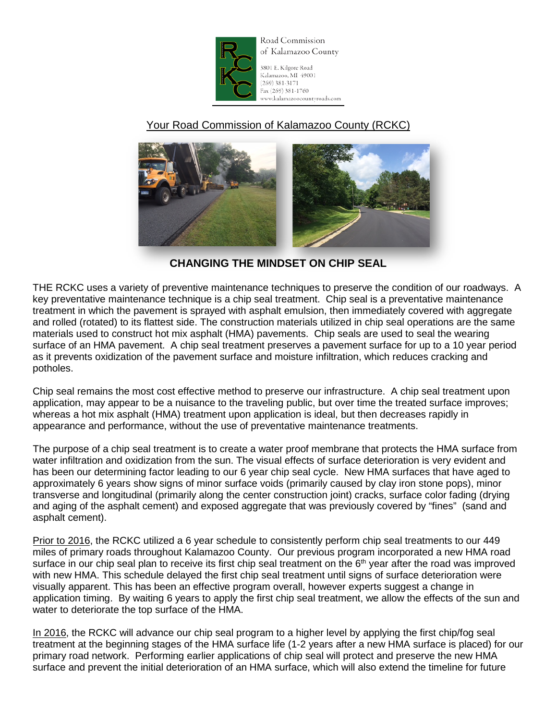

Road Commission of Kalamazoo County

3801 E. Kilgore Road Kalamazoo, MI 49001  $(269)$  381-3171 Fax (269) 381-1760 www.kalamazoocountyroads.com

## Your Road Commission of Kalamazoo County (RCKC)



**CHANGING THE MINDSET ON CHIP SEAL**

THE RCKC uses a variety of preventive maintenance techniques to preserve the condition of our roadways. A key preventative maintenance technique is a chip seal treatment. Chip seal is a preventative maintenance treatment in which the pavement is sprayed with asphalt emulsion, then immediately covered with aggregate and rolled (rotated) to its flattest side. The construction materials utilized in chip seal operations are the same materials used to construct hot mix asphalt (HMA) pavements. Chip seals are used to seal the wearing surface of an HMA pavement. A chip seal treatment preserves a pavement surface for up to a 10 year period as it prevents oxidization of the pavement surface and moisture infiltration, which reduces cracking and potholes.

Chip seal remains the most cost effective method to preserve our infrastructure. A chip seal treatment upon application, may appear to be a nuisance to the traveling public, but over time the treated surface improves; whereas a hot mix asphalt (HMA) treatment upon application is ideal, but then decreases rapidly in appearance and performance, without the use of preventative maintenance treatments.

The purpose of a chip seal treatment is to create a water proof membrane that protects the HMA surface from water infiltration and oxidization from the sun. The visual effects of surface deterioration is very evident and has been our determining factor leading to our 6 year chip seal cycle. New HMA surfaces that have aged to approximately 6 years show signs of minor surface voids (primarily caused by clay iron stone pops), minor transverse and longitudinal (primarily along the center construction joint) cracks, surface color fading (drying and aging of the asphalt cement) and exposed aggregate that was previously covered by "fines" (sand and asphalt cement).

Prior to 2016, the RCKC utilized a 6 year schedule to consistently perform chip seal treatments to our 449 miles of primary roads throughout Kalamazoo County. Our previous program incorporated a new HMA road surface in our chip seal plan to receive its first chip seal treatment on the 6<sup>th</sup> year after the road was improved with new HMA. This schedule delayed the first chip seal treatment until signs of surface deterioration were visually apparent. This has been an effective program overall, however experts suggest a change in application timing. By waiting 6 years to apply the first chip seal treatment, we allow the effects of the sun and water to deteriorate the top surface of the HMA.

In 2016, the RCKC will advance our chip seal program to a higher level by applying the first chip/fog seal treatment at the beginning stages of the HMA surface life (1-2 years after a new HMA surface is placed) for our primary road network. Performing earlier applications of chip seal will protect and preserve the new HMA surface and prevent the initial deterioration of an HMA surface, which will also extend the timeline for future